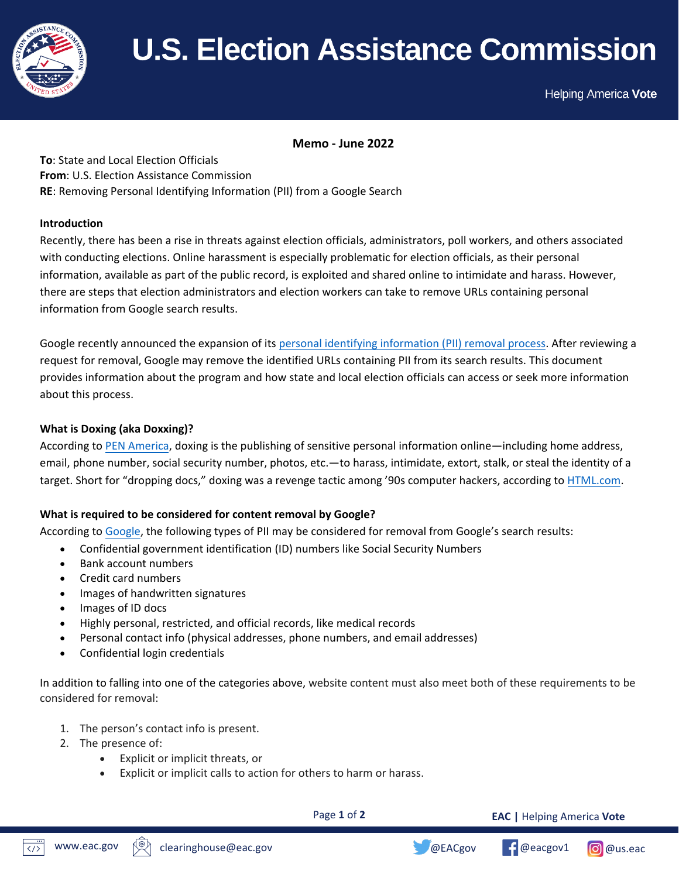

# **Memo:** Removing Personal Identifying Information (PII) from a Google n l

Helping America Vote

 **Memo - June 2022**

**To**: State and Local Election Officials **From**: U.S. Election Assistance Commission **RE**: Removing Personal Identifying Information (PII) from a Google Search

# **Introduction**

Recently, there has been a rise in threats against election officials, administrators, poll workers, and others associated with conducting elections. Online harassment is especially problematic for election officials, as their personal information, available as part of the public record, is exploited and shared online to intimidate and harass. However, there are steps that election administrators and election workers can take to remove URLs containing personal information from Google search results.

Google recently announced the expansion of its [personal identifying information \(PII\) removal process.](https://support.google.com/websearch/troubleshooter/9685456#ts=2889054%2C2889099) After reviewing a request for removal, Google may remove the identified URLs containing PII from its search results. This document provides information about the program and how state and local election officials can access or seek more information about this process.

# **What is Doxing (aka Doxxing)?**

According to [PEN America,](https://onlineharassmentfieldmanual.pen.org/defining-online-harassment-a-glossary-of-terms/) doxing is the publishing of sensitive personal information online—including home address, email, phone number, social security number, photos, etc.—to harass, intimidate, extort, stalk, or steal the identity of a target. Short for "dropping docs," doxing was a revenge tactic among '90s computer hackers, according to [HTML.com.](https://html.com/blog/doxing/)

# **What is required to be considered for content removal by Google?**

According to [Google,](https://support.google.com/websearch/answer/9673730) the following types of PII may be considered for removal from Google's search results:

- Confidential government identification (ID) numbers like Social Security Numbers
- Bank account numbers
- Credit card numbers
- Images of handwritten signatures
- Images of ID docs
- Highly personal, restricted, and official records, like medical records
- Personal contact info (physical addresses, phone numbers, and email addresses)
- Confidential login credentials

In addition to falling into one of the categories above, website content must also meet both of these requirements to be considered for removal:

- 1. The person's contact info is present.
- 2. The presence of:
	- Explicit or implicit threats, or
	- Explicit or implicit calls to action for others to harm or harass.

Page **1** of **2**

**EAC |** Helping America **Vote**